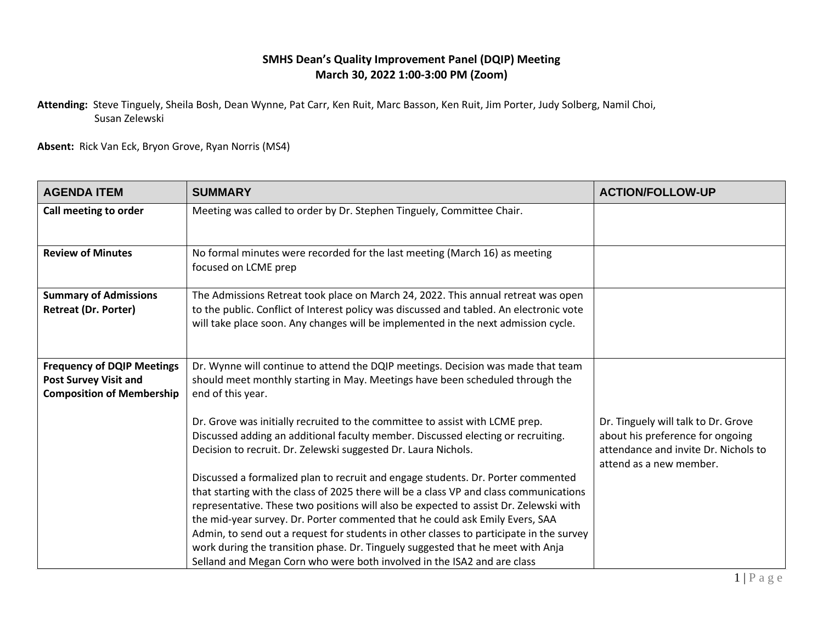## **SMHS Dean's Quality Improvement Panel (DQIP) Meeting March 30, 2022 1:00-3:00 PM (Zoom)**

**Attending:** Steve Tinguely, Sheila Bosh, Dean Wynne, Pat Carr, Ken Ruit, Marc Basson, Ken Ruit, Jim Porter, Judy Solberg, Namil Choi, Susan Zelewski

**Absent:** Rick Van Eck, Bryon Grove, Ryan Norris (MS4)

| <b>AGENDA ITEM</b>                                                                                    | <b>SUMMARY</b>                                                                                                                                                                                                                                                                                                                                                                                                                                                                                                                                                                                               | <b>ACTION/FOLLOW-UP</b>                                                                                                                    |
|-------------------------------------------------------------------------------------------------------|--------------------------------------------------------------------------------------------------------------------------------------------------------------------------------------------------------------------------------------------------------------------------------------------------------------------------------------------------------------------------------------------------------------------------------------------------------------------------------------------------------------------------------------------------------------------------------------------------------------|--------------------------------------------------------------------------------------------------------------------------------------------|
| Call meeting to order                                                                                 | Meeting was called to order by Dr. Stephen Tinguely, Committee Chair.                                                                                                                                                                                                                                                                                                                                                                                                                                                                                                                                        |                                                                                                                                            |
| <b>Review of Minutes</b>                                                                              | No formal minutes were recorded for the last meeting (March 16) as meeting<br>focused on LCME prep                                                                                                                                                                                                                                                                                                                                                                                                                                                                                                           |                                                                                                                                            |
| <b>Summary of Admissions</b><br><b>Retreat (Dr. Porter)</b>                                           | The Admissions Retreat took place on March 24, 2022. This annual retreat was open<br>to the public. Conflict of Interest policy was discussed and tabled. An electronic vote<br>will take place soon. Any changes will be implemented in the next admission cycle.                                                                                                                                                                                                                                                                                                                                           |                                                                                                                                            |
| <b>Frequency of DQIP Meetings</b><br><b>Post Survey Visit and</b><br><b>Composition of Membership</b> | Dr. Wynne will continue to attend the DQIP meetings. Decision was made that team<br>should meet monthly starting in May. Meetings have been scheduled through the<br>end of this year.                                                                                                                                                                                                                                                                                                                                                                                                                       |                                                                                                                                            |
|                                                                                                       | Dr. Grove was initially recruited to the committee to assist with LCME prep.<br>Discussed adding an additional faculty member. Discussed electing or recruiting.<br>Decision to recruit. Dr. Zelewski suggested Dr. Laura Nichols.                                                                                                                                                                                                                                                                                                                                                                           | Dr. Tinguely will talk to Dr. Grove<br>about his preference for ongoing<br>attendance and invite Dr. Nichols to<br>attend as a new member. |
|                                                                                                       | Discussed a formalized plan to recruit and engage students. Dr. Porter commented<br>that starting with the class of 2025 there will be a class VP and class communications<br>representative. These two positions will also be expected to assist Dr. Zelewski with<br>the mid-year survey. Dr. Porter commented that he could ask Emily Evers, SAA<br>Admin, to send out a request for students in other classes to participate in the survey<br>work during the transition phase. Dr. Tinguely suggested that he meet with Anja<br>Selland and Megan Corn who were both involved in the ISA2 and are class |                                                                                                                                            |